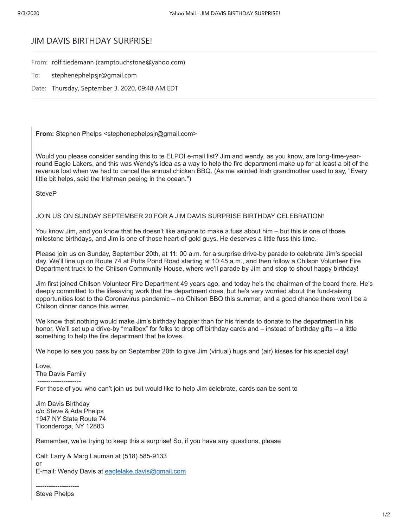## JIM DAVIS BIRTHDAY SURPRISE!

From: rolf tiedemann (camptouchstone@yahoo.com)

- To: stephenephelpsjr@gmail.com
- Date: Thursday, September 3, 2020, 09:48 AM EDT

**From:** Stephen Phelps <stephenephelpsir@gmail.com>

Would you please consider sending this to te ELPOI e-mail list? Jim and wendy, as you know, are long-time-yearround Eagle Lakers, and this was Wendy's idea as a way to help the fire department make up for at least a bit of the revenue lost when we had to cancel the annual chicken BBQ. (As me sainted Irish grandmother used to say, "Every little bit helps, said the Irishman peeing in the ocean.")

**SteveP** 

JOIN US ON SUNDAY SEPTEMBER 20 FOR A JIM DAVIS SURPRISE BIRTHDAY CELEBRATION!

You know Jim, and you know that he doesn't like anyone to make a fuss about him – but this is one of those milestone birthdays, and Jim is one of those heart-of-gold guys. He deserves a little fuss this time.

Please ioin us on Sunday, September 20th, at 11: 00 a.m. for a surprise drive-by parade to celebrate Jim's special day. We'll line up on Route 74 at Putts Pond Road starting at 10:45 a.m., and then follow a Chilson Volunteer Fire Department truck to the Chilson Community House, where we'll parade by Jim and stop to shout happy birthday!

Jim first joined Chilson Volunteer Fire Department 49 years ago, and today he's the chairman of the board there. He's deeply committed to the lifesaving work that the department does, but he's very worried about the fund-raising opportunities lost to the Coronavirus pandemic – no Chilson BBQ this summer, and a good chance there won't be a Chilson dinner dance this winter.

We know that nothing would make Jim's birthday happier than for his friends to donate to the department in his honor. We'll set up a drive-by "mailbox" for folks to drop off birthday cards and – instead of birthday gifts – a little something to help the fire department that he loves.

We hope to see you pass by on September 20th to give Jim (virtual) hugs and (air) kisses for his special day!

Love, The Davis Family --------------------

For those of you who can't join us but would like to help Jim celebrate, cards can be sent to

Jim Davis Birthday c/o Steve & Ada Phelps 1947 NY State Route 74 Ticonderoga, NY 12883

Remember, we're trying to keep this a surprise! So, if you have any questions, please

Call: Larry & Marg Lauman at (518) 585-9133 or E-mail: Wendy Davis at [eaglelake.davis@gmail.com](mailto:eaglelake.davis@gmail.com)

-------------------- Steve Phelps